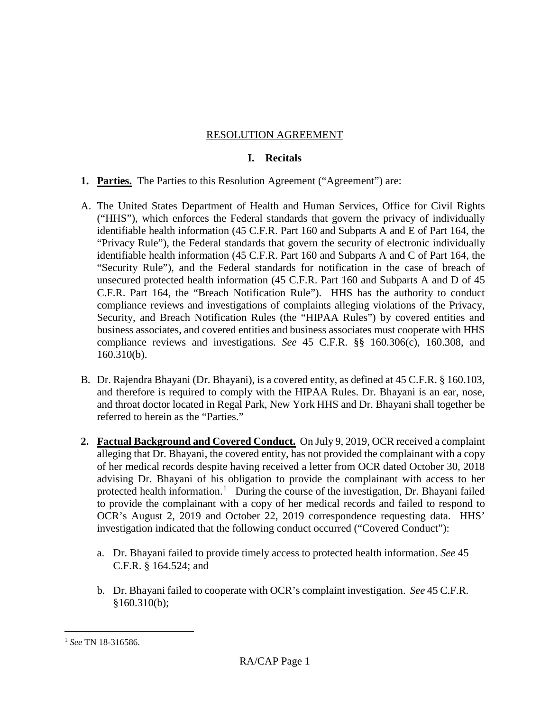### RESOLUTION AGREEMENT

### **I. Recitals**

- **1. Parties.** The Parties to this Resolution Agreement ("Agreement") are:
- A. The United States Department of Health and Human Services, Office for Civil Rights ("HHS"), which enforces the Federal standards that govern the privacy of individually identifiable health information (45 C.F.R. Part 160 and Subparts A and E of Part 164, the "Privacy Rule"), the Federal standards that govern the security of electronic individually identifiable health information (45 C.F.R. Part 160 and Subparts A and C of Part 164, the "Security Rule"), and the Federal standards for notification in the case of breach of unsecured protected health information (45 C.F.R. Part 160 and Subparts A and D of 45 C.F.R. Part 164, the "Breach Notification Rule"). HHS has the authority to conduct compliance reviews and investigations of complaints alleging violations of the Privacy, Security, and Breach Notification Rules (the "HIPAA Rules") by covered entities and business associates, and covered entities and business associates must cooperate with HHS compliance reviews and investigations. *See* 45 C.F.R. §§ 160.306(c), 160.308, and 160.310(b).
- B. Dr. Rajendra Bhayani (Dr. Bhayani), is a covered entity, as defined at 45 C.F.R. § 160.103, and therefore is required to comply with the HIPAA Rules. Dr. Bhayani is an ear, nose, and throat doctor located in Regal Park, New York HHS and Dr. Bhayani shall together be referred to herein as the "Parties."
- <span id="page-0-1"></span>**2. Factual Background and Covered Conduct.** On July 9, 2019, OCR received a complaint alleging that Dr. Bhayani, the covered entity, has not provided the complainant with a copy of her medical records despite having received a letter from OCR dated October 30, 2018 advising Dr. Bhayani of his obligation to provide the complainant with access to her protected health information.<sup>[1](#page-0-0)</sup> During the course of the investigation, Dr. Bhayani failed to provide the complainant with a copy of her medical records and failed to respond to OCR's August 2, 2019 and October 22, 2019 correspondence requesting data. HHS' investigation indicated that the following conduct occurred ("Covered Conduct"):
	- a. Dr. Bhayani failed to provide timely access to protected health information. *See* 45 C.F.R. § 164.524; and
	- b. Dr. Bhayani failed to cooperate with OCR's complaint investigation. *See* 45 C.F.R. §160.310(b);

<span id="page-0-0"></span> <sup>1</sup> *See* TN 18-316586.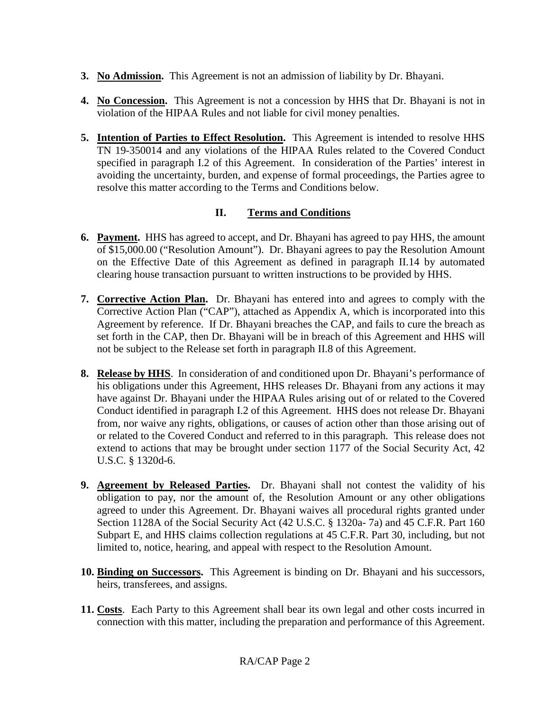- **3. No Admission.** This Agreement is not an admission of liability by Dr. Bhayani.
- **4. No Concession.** This Agreement is not a concession by HHS that Dr. Bhayani is not in violation of the HIPAA Rules and not liable for civil money penalties.
- **5. Intention of Parties to Effect Resolution.** This Agreement is intended to resolve HHS TN 19-350014 and any violations of the HIPAA Rules related to the Covered Conduct specified in paragraph I.2 of this Agreement. In consideration of the Parties' interest in avoiding the uncertainty, burden, and expense of formal proceedings, the Parties agree to resolve this matter according to the Terms and Conditions below.

## **II. Terms and Conditions**

- **6. Payment.** HHS has agreed to accept, and Dr. Bhayani has agreed to pay HHS, the amount of \$15,000.00 ("Resolution Amount"). Dr. Bhayani agrees to pay the Resolution Amount on the Effective Date of this Agreement as defined in paragraph II.14 by automated clearing house transaction pursuant to written instructions to be provided by HHS.
- **7. Corrective Action Plan.** Dr. Bhayani has entered into and agrees to comply with the Corrective Action Plan ("CAP"), attached as Appendix A, which is incorporated into this Agreement by reference. If Dr. Bhayani breaches the CAP, and fails to cure the breach as set forth in the CAP, then Dr. Bhayani will be in breach of this Agreement and HHS will not be subject to the Release set forth in paragraph II.8 of this Agreement.
- **8. Release by HHS**. In consideration of and conditioned upon Dr. Bhayani's performance of his obligations under this Agreement, HHS releases Dr. Bhayani from any actions it may have against Dr. Bhayani under the HIPAA Rules arising out of or related to the Covered Conduct identified in paragraph I[.2](#page-0-1) of this Agreement. HHS does not release Dr. Bhayani from, nor waive any rights, obligations, or causes of action other than those arising out of or related to the Covered Conduct and referred to in this paragraph. This release does not extend to actions that may be brought under section 1177 of the Social Security Act, 42 U.S.C. § 1320d-6.
- **9. Agreement by Released Parties.** Dr. Bhayani shall not contest the validity of his obligation to pay, nor the amount of, the Resolution Amount or any other obligations agreed to under this Agreement. Dr. Bhayani waives all procedural rights granted under Section 1128A of the Social Security Act (42 U.S.C. § 1320a- 7a) and 45 C.F.R. Part 160 Subpart E, and HHS claims collection regulations at 45 C.F.R. Part 30, including, but not limited to, notice, hearing, and appeal with respect to the Resolution Amount.
- **10. Binding on Successors.** This Agreement is binding on Dr. Bhayani and his successors, heirs, transferees, and assigns.
- **11. Costs**. Each Party to this Agreement shall bear its own legal and other costs incurred in connection with this matter, including the preparation and performance of this Agreement.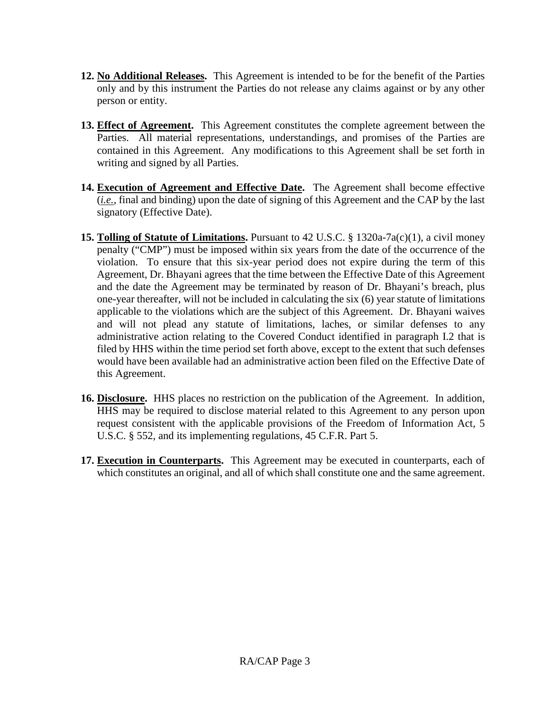- **12. No Additional Releases.** This Agreement is intended to be for the benefit of the Parties only and by this instrument the Parties do not release any claims against or by any other person or entity.
- **13. Effect of Agreement.** This Agreement constitutes the complete agreement between the Parties. All material representations, understandings, and promises of the Parties are contained in this Agreement. Any modifications to this Agreement shall be set forth in writing and signed by all Parties.
- **14. Execution of Agreement and Effective Date.** The Agreement shall become effective (*i.e.*, final and binding) upon the date of signing of this Agreement and the CAP by the last signatory (Effective Date).
- **15. Tolling of Statute of Limitations.** Pursuant to 42 U.S.C. § 1320a-7a(c)(1), a civil money penalty ("CMP") must be imposed within six years from the date of the occurrence of the violation. To ensure that this six-year period does not expire during the term of this Agreement, Dr. Bhayani agrees that the time between the Effective Date of this Agreement and the date the Agreement may be terminated by reason of Dr. Bhayani's breach, plus one-year thereafter, will not be included in calculating the six (6) year statute of limitations applicable to the violations which are the subject of this Agreement. Dr. Bhayani waives and will not plead any statute of limitations, laches, or similar defenses to any administrative action relating to the Covered Conduct identified in paragraph I.2 that is filed by HHS within the time period set forth above, except to the extent that such defenses would have been available had an administrative action been filed on the Effective Date of this Agreement.
- **16. Disclosure.** HHS places no restriction on the publication of the Agreement. In addition, HHS may be required to disclose material related to this Agreement to any person upon request consistent with the applicable provisions of the Freedom of Information Act, 5 U.S.C. § 552, and its implementing regulations, 45 C.F.R. Part 5.
- **17. Execution in Counterparts.** This Agreement may be executed in counterparts, each of which constitutes an original, and all of which shall constitute one and the same agreement.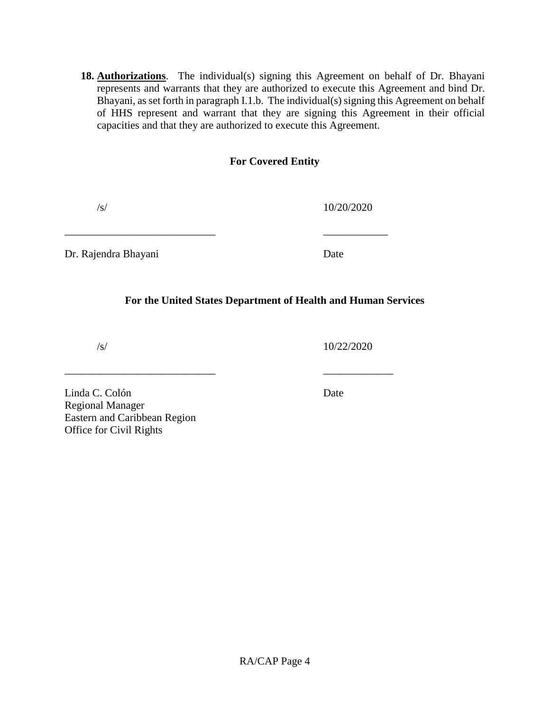**18. Authorizations**. The individual(s) signing this Agreement on behalf of Dr. Bhayani represents and warrants that they are authorized to execute this Agreement and bind Dr. Bhayani, as set forth in paragraph I.1.b. The individual(s) signing this Agreement on behalf of HHS represent and warrant that they are signing this Agreement in their official capacities and that they are authorized to execute this Agreement.

#### **For Covered Entity**

/s/ 10/20/2020

Dr. Rajendra Bhayani Date

#### **For the United States Department of Health and Human Services**

\_\_\_\_\_\_\_\_\_\_\_\_\_\_\_\_\_\_\_\_\_\_\_\_\_\_\_\_ \_\_\_\_\_\_\_\_\_\_\_\_

\_\_\_\_\_\_\_\_\_\_\_\_\_\_\_\_\_\_\_\_\_\_\_\_\_\_\_\_ \_\_\_\_\_\_\_\_\_\_\_\_\_

/s/ 10/22/2020

Linda C. Colón Date Regional Manager Eastern and Caribbean Region Office for Civil Rights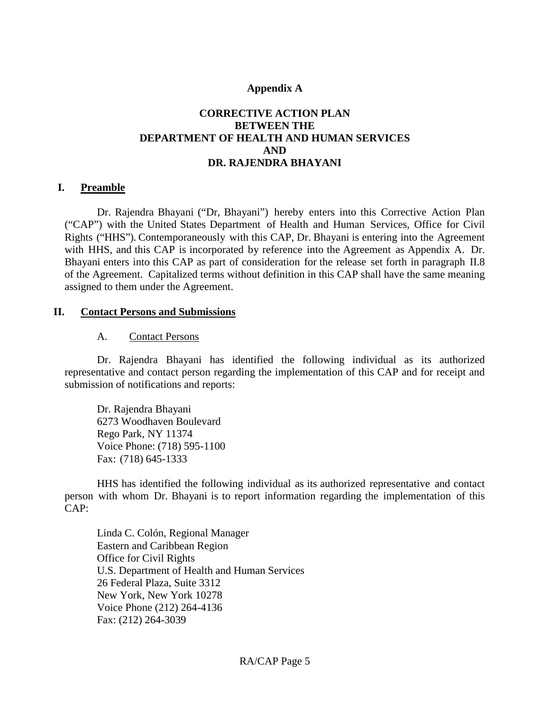#### **Appendix A**

### **CORRECTIVE ACTION PLAN BETWEEN THE DEPARTMENT OF HEALTH AND HUMAN SERVICES AND DR. RAJENDRA BHAYANI**

#### **I. Preamble**

Dr. Rajendra Bhayani ("Dr, Bhayani") hereby enters into this Corrective Action Plan ("CAP") with the United States Department of Health and Human Services, Office for Civil Rights ("HHS"). Contemporaneously with this CAP, Dr. Bhayani is entering into the Agreement with HHS, and this CAP is incorporated by reference into the Agreement as Appendix A. Dr. Bhayani enters into this CAP as part of consideration for the release set forth in paragraph II.8 of the Agreement. Capitalized terms without definition in this CAP shall have the same meaning assigned to them under the Agreement.

#### **II. Contact Persons and Submissions**

#### A. Contact Persons

Dr. Rajendra Bhayani has identified the following individual as its authorized representative and contact person regarding the implementation of this CAP and for receipt and submission of notifications and reports:

Dr. Rajendra Bhayani 6273 Woodhaven Boulevard Rego Park, NY 11374 Voice Phone: (718) 595-1100 Fax: (718) 645-1333

HHS has identified the following individual as its authorized representative and contact person with whom Dr. Bhayani is to report information regarding the implementation of this CAP:

Linda C. Colón, Regional Manager Eastern and Caribbean Region Office for Civil Rights U.S. Department of Health and Human Services 26 Federal Plaza, Suite 3312 New York, New York 10278 Voice Phone (212) 264-4136 Fax: (212) 264-3039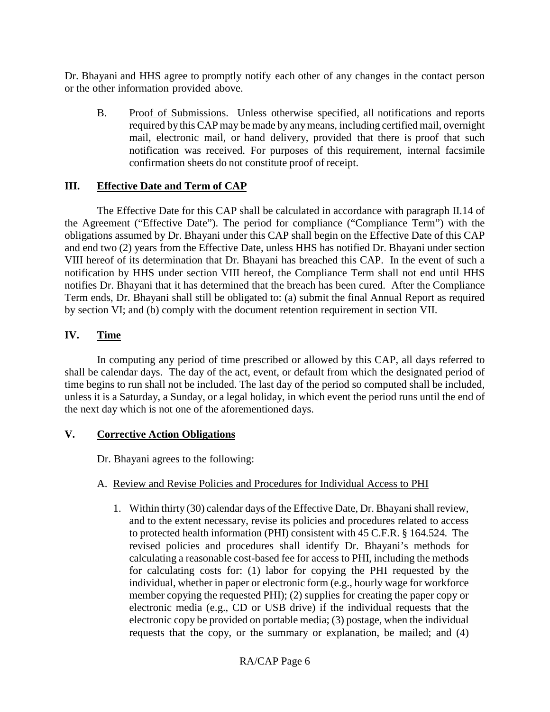Dr. Bhayani and HHS agree to promptly notify each other of any changes in the contact person or the other information provided above.

B. Proof of Submissions. Unless otherwise specified, all notifications and reports required by this CAP may be made by anymeans, including certified mail, overnight mail, electronic mail, or hand delivery, provided that there is proof that such notification was received. For purposes of this requirement, internal facsimile confirmation sheets do not constitute proof of receipt.

#### **III. Effective Date and Term of CAP**

The Effective Date for this CAP shall be calculated in accordance with paragraph II.14 of the Agreement ("Effective Date"). The period for compliance ("Compliance Term") with the obligations assumed by Dr. Bhayani under this CAP shall begin on the Effective Date of this CAP and end two (2) years from the Effective Date, unless HHS has notified Dr. Bhayani under section VIII hereof of its determination that Dr. Bhayani has breached this CAP. In the event of such a notification by HHS under section VIII hereof, the Compliance Term shall not end until HHS notifies Dr. Bhayani that it has determined that the breach has been cured. After the Compliance Term ends, Dr. Bhayani shall still be obligated to: (a) submit the final Annual Report as required by section VI; and (b) comply with the document retention requirement in section VII.

#### **IV. Time**

In computing any period of time prescribed or allowed by this CAP, all days referred to shall be calendar days. The day of the act, event, or default from which the designated period of time begins to run shall not be included. The last day of the period so computed shall be included, unless it is a Saturday, a Sunday, or a legal holiday, in which event the period runs until the end of the next day which is not one of the aforementioned days.

#### **V. Corrective Action Obligations**

Dr. Bhayani agrees to the following:

#### A. Review and Revise Policies and Procedures for Individual Access to PHI

1. Within thirty (30) calendar days of the Effective Date, Dr. Bhayanishall review, and to the extent necessary, revise its policies and procedures related to access to protected health information (PHI) consistent with 45 C.F.R. § 164.524. The revised policies and procedures shall identify Dr. Bhayani's methods for calculating a reasonable cost-based fee for access to PHI, including the methods for calculating costs for: (1) labor for copying the PHI requested by the individual, whether in paper or electronic form (e.g., hourly wage for workforce member copying the requested PHI); (2) supplies for creating the paper copy or electronic media (e.g., CD or USB drive) if the individual requests that the electronic copy be provided on portable media; (3) postage, when the individual requests that the copy, or the summary or explanation, be mailed; and (4)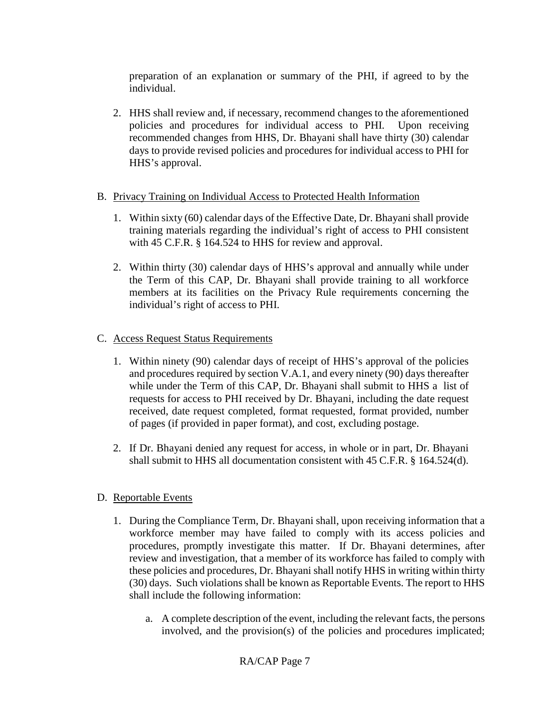preparation of an explanation or summary of the PHI, if agreed to by the individual.

2. HHS shall review and, if necessary, recommend changes to the aforementioned policies and procedures for individual access to PHI. Upon receiving recommended changes from HHS, Dr. Bhayani shall have thirty (30) calendar days to provide revised policies and procedures for individual access to PHI for HHS's approval.

### B. Privacy Training on Individual Access to Protected Health Information

- 1. Within sixty (60) calendar days of the Effective Date, Dr. Bhayani shall provide training materials regarding the individual's right of access to PHI consistent with 45 C.F.R. § 164.524 to HHS for review and approval.
- 2. Within thirty (30) calendar days of HHS's approval and annually while under the Term of this CAP, Dr. Bhayani shall provide training to all workforce members at its facilities on the Privacy Rule requirements concerning the individual's right of access to PHI.

## C. Access Request Status Requirements

- 1. Within ninety (90) calendar days of receipt of HHS's approval of the policies and procedures required by section V.A.1, and every ninety (90) days thereafter while under the Term of this CAP, Dr. Bhayani shall submit to HHS a list of requests for access to PHI received by Dr. Bhayani, including the date request received, date request completed, format requested, format provided, number of pages (if provided in paper format), and cost, excluding postage.
- 2. If Dr. Bhayani denied any request for access, in whole or in part, Dr. Bhayani shall submit to HHS all documentation consistent with 45 C.F.R. § 164.524(d).

## D. Reportable Events

- 1. During the Compliance Term, Dr. Bhayani shall, upon receiving information that a workforce member may have failed to comply with its access policies and procedures, promptly investigate this matter. If Dr. Bhayani determines, after review and investigation, that a member of its workforce has failed to comply with these policies and procedures, Dr. Bhayani shall notify HHS in writing within thirty (30) days. Such violations shall be known as Reportable Events. The report to HHS shall include the following information:
	- a. A complete description of the event, including the relevant facts, the persons involved, and the provision(s) of the policies and procedures implicated;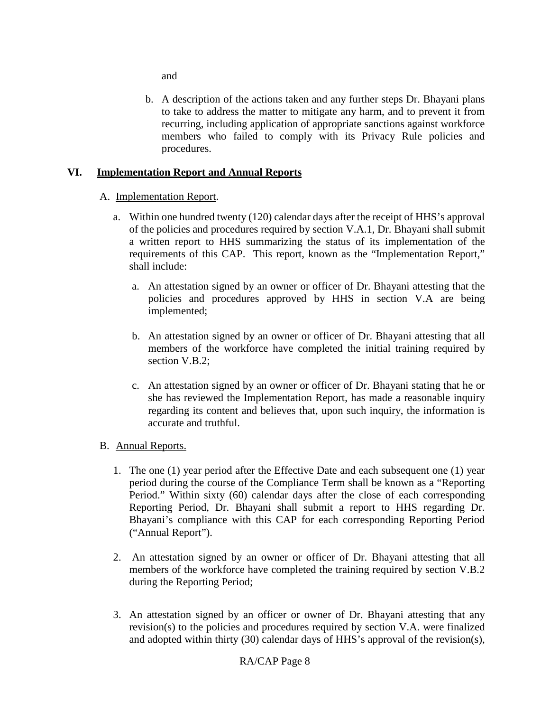and

b. A description of the actions taken and any further steps Dr. Bhayani plans to take to address the matter to mitigate any harm, and to prevent it from recurring, including application of appropriate sanctions against workforce members who failed to comply with its Privacy Rule policies and procedures.

### **VI. Implementation Report and Annual Reports**

#### A. Implementation Report.

- a. Within one hundred twenty (120) calendar days after the receipt of HHS's approval of the policies and procedures required by section V.A.1, Dr. Bhayani shall submit a written report to HHS summarizing the status of its implementation of the requirements of this CAP. This report, known as the "Implementation Report," shall include:
	- a. An attestation signed by an owner or officer of Dr. Bhayani attesting that the policies and procedures approved by HHS in section V.A are being implemented;
	- b. An attestation signed by an owner or officer of Dr. Bhayani attesting that all members of the workforce have completed the initial training required by section V.B.2;
	- c. An attestation signed by an owner or officer of Dr. Bhayani stating that he or she has reviewed the Implementation Report, has made a reasonable inquiry regarding its content and believes that, upon such inquiry, the information is accurate and truthful.

#### B. Annual Reports.

- 1. The one (1) year period after the Effective Date and each subsequent one (1) year period during the course of the Compliance Term shall be known as a "Reporting Period." Within sixty (60) calendar days after the close of each corresponding Reporting Period, Dr. Bhayani shall submit a report to HHS regarding Dr. Bhayani's compliance with this CAP for each corresponding Reporting Period ("Annual Report").
- 2. An attestation signed by an owner or officer of Dr. Bhayani attesting that all members of the workforce have completed the training required by section V.B.2 during the Reporting Period;
- 3. An attestation signed by an officer or owner of Dr. Bhayani attesting that any revision(s) to the policies and procedures required by section V.A. were finalized and adopted within thirty (30) calendar days of HHS's approval of the revision(s),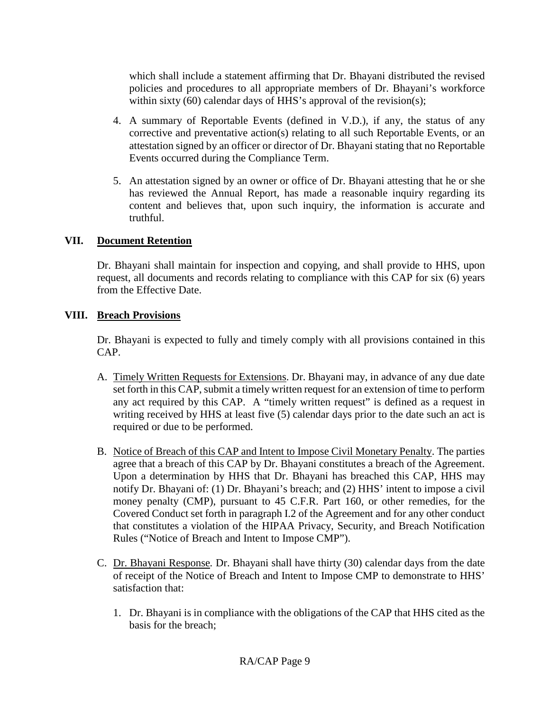which shall include a statement affirming that Dr. Bhayani distributed the revised policies and procedures to all appropriate members of Dr. Bhayani's workforce within sixty (60) calendar days of HHS's approval of the revision(s);

- 4. A summary of Reportable Events (defined in V.D.), if any, the status of any corrective and preventative action(s) relating to all such Reportable Events, or an attestation signed by an officer or director of Dr. Bhayani stating that no Reportable Events occurred during the Compliance Term.
- 5. An attestation signed by an owner or office of Dr. Bhayani attesting that he or she has reviewed the Annual Report, has made a reasonable inquiry regarding its content and believes that, upon such inquiry, the information is accurate and truthful.

#### **VII. Document Retention**

Dr. Bhayani shall maintain for inspection and copying, and shall provide to HHS, upon request, all documents and records relating to compliance with this CAP for six (6) years from the Effective Date.

#### **VIII. Breach Provisions**

Dr. Bhayani is expected to fully and timely comply with all provisions contained in this CAP.

- A. Timely Written Requests for Extensions. Dr. Bhayani may, in advance of any due date set forth in this CAP, submit a timely written request for an extension of time to perform any act required by this CAP. A "timely written request" is defined as a request in writing received by HHS at least five (5) calendar days prior to the date such an act is required or due to be performed.
- B. Notice of Breach of this CAP and Intent to Impose Civil Monetary Penalty. The parties agree that a breach of this CAP by Dr. Bhayani constitutes a breach of the Agreement. Upon a determination by HHS that Dr. Bhayani has breached this CAP, HHS may notify Dr. Bhayani of: (1) Dr. Bhayani's breach; and (2) HHS' intent to impose a civil money penalty (CMP), pursuant to 45 C.F.R. Part 160, or other remedies, for the Covered Conduct set forth in paragraph I.2 of the Agreement and for any other conduct that constitutes a violation of the HIPAA Privacy, Security, and Breach Notification Rules ("Notice of Breach and Intent to Impose CMP").
- C. Dr. Bhayani Response*.* Dr. Bhayani shall have thirty (30) calendar days from the date of receipt of the Notice of Breach and Intent to Impose CMP to demonstrate to HHS' satisfaction that:
	- 1. Dr. Bhayani is in compliance with the obligations of the CAP that HHS cited as the basis for the breach;